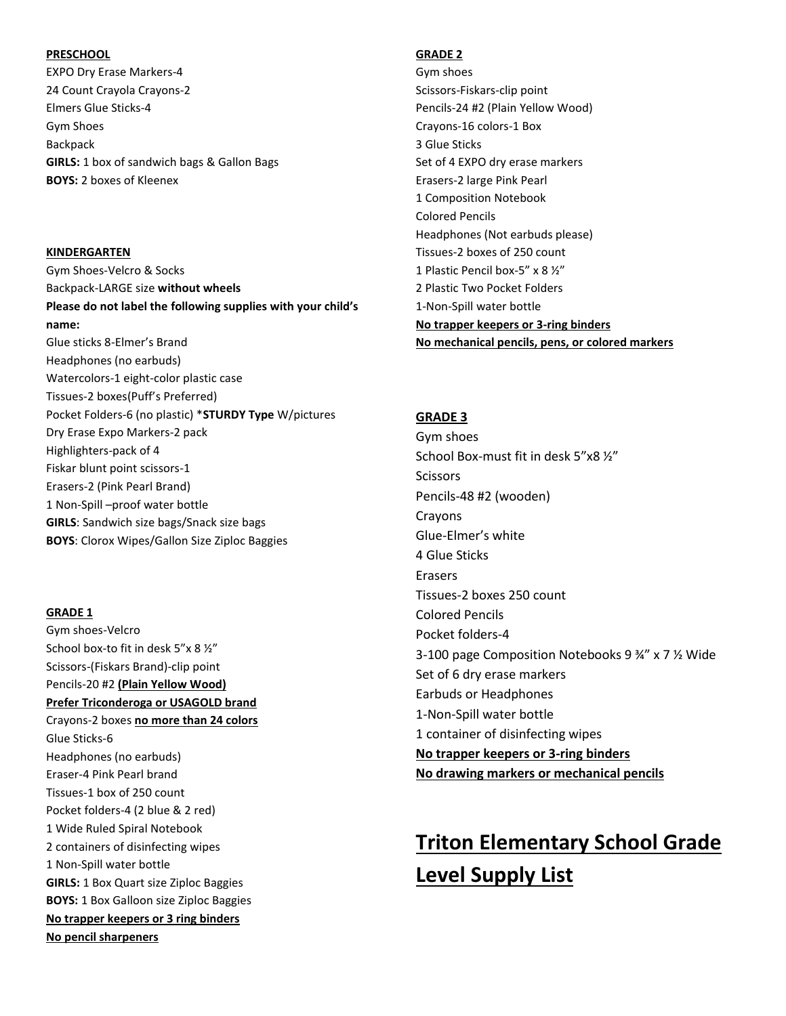### **PRESCHOOL**

EXPO Dry Erase Markers-4 24 Count Crayola Crayons-2 Elmers Glue Sticks-4 Gym Shoes Backpack **GIRLS:** 1 box of sandwich bags & Gallon Bags **BOYS:** 2 boxes of Kleenex

**KINDERGARTEN** Gym Shoes-Velcro & Socks Backpack-LARGE size **without wheels Please do not label the following supplies with your child's name:** Glue sticks 8-Elmer's Brand Headphones (no earbuds) Watercolors-1 eight-color plastic case Tissues-2 boxes(Puff's Preferred) Pocket Folders-6 (no plastic) \***STURDY Type** W/pictures Dry Erase Expo Markers-2 pack Highlighters-pack of 4 Fiskar blunt point scissors-1 Erasers-2 (Pink Pearl Brand) 1 Non-Spill –proof water bottle **GIRLS**: Sandwich size bags/Snack size bags **BOYS**: Clorox Wipes/Gallon Size Ziploc Baggies

### **GRADE 1**

Gym shoes-Velcro School box-to fit in desk 5"x 8 ½" Scissors-(Fiskars Brand)-clip point Pencils-20 #2 **(Plain Yellow Wood) Prefer Triconderoga or USAGOLD brand** Crayons-2 boxes **no more than 24 colors** Glue Sticks-6 Headphones (no earbuds) Eraser-4 Pink Pearl brand Tissues-1 box of 250 count Pocket folders-4 (2 blue & 2 red) 1 Wide Ruled Spiral Notebook 2 containers of disinfecting wipes 1 Non-Spill water bottle **GIRLS:** 1 Box Quart size Ziploc Baggies **BOYS:** 1 Box Galloon size Ziploc Baggies **No trapper keepers or 3 ring binders No pencil sharpeners**

### **GRADE 2**

Gym shoes Scissors-Fiskars-clip point Pencils-24 #2 (Plain Yellow Wood) Crayons-16 colors-1 Box 3 Glue Sticks Set of 4 EXPO dry erase markers Erasers-2 large Pink Pearl 1 Composition Notebook Colored Pencils Headphones (Not earbuds please) Tissues-2 boxes of 250 count 1 Plastic Pencil box-5" x 8 ½" 2 Plastic Two Pocket Folders 1-Non-Spill water bottle **No trapper keepers or 3-ring binders No mechanical pencils, pens, or colored markers** 

### **GRADE 3**

Gym shoes School Box-must fit in desk 5"x8 ½" **Scissors** Pencils-48 #2 (wooden) Crayons Glue-Elmer's white 4 Glue Sticks Erasers Tissues-2 boxes 250 count Colored Pencils Pocket folders-4 3-100 page Composition Notebooks 9 ¾" x 7 ½ Wide Set of 6 dry erase markers Earbuds or Headphones 1-Non-Spill water bottle 1 container of disinfecting wipes **No trapper keepers or 3-ring binders No drawing markers or mechanical pencils**

# **Triton Elementary School Grade Level Supply List**